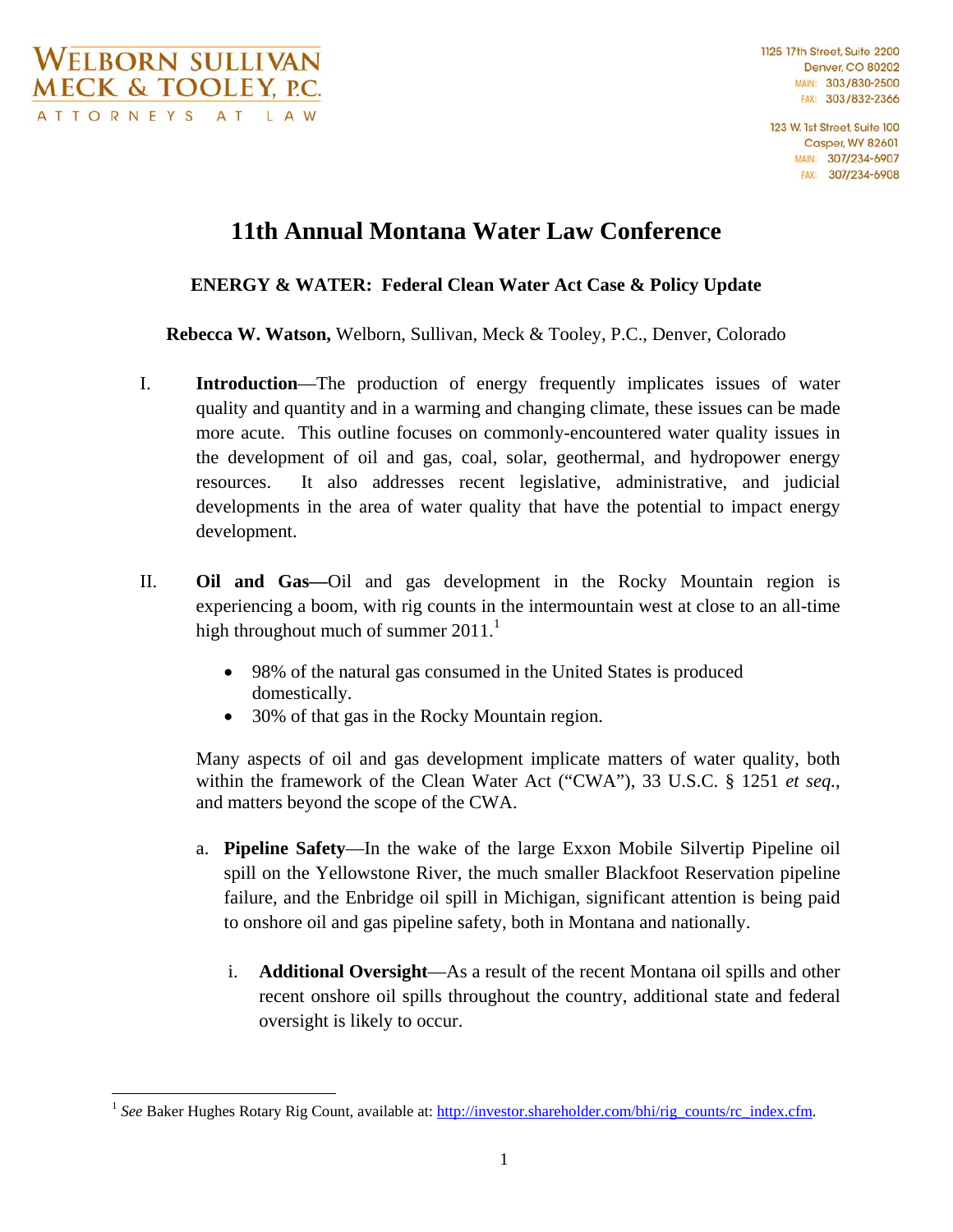$\overline{a}$ 

1125 17th Street Suite 2200 **Denver, CO 80202** MAIN: 303/830-2500 FAX: 303/832-2366

123 W. 1st Street, Suite 100 **Casper, WY 82601** MAIN: 307/234-6907 FAX: 307/234-6908

## **11th Annual Montana Water Law Conference**

## **ENERGY & WATER: Federal Clean Water Act Case & Policy Update**

**Rebecca W. Watson,** Welborn, Sullivan, Meck & Tooley, P.C., Denver, Colorado

- I. **Introduction**—The production of energy frequently implicates issues of water quality and quantity and in a warming and changing climate, these issues can be made more acute. This outline focuses on commonly-encountered water quality issues in the development of oil and gas, coal, solar, geothermal, and hydropower energy resources. It also addresses recent legislative, administrative, and judicial developments in the area of water quality that have the potential to impact energy development.
- II. **Oil and Gas—**Oil and gas development in the Rocky Mountain region is experiencing a boom, with rig counts in the intermountain west at close to an all-time high throughout much of summer  $2011<sup>1</sup>$ 
	- 98% of the natural gas consumed in the United States is produced domestically.
	- 30% of that gas in the Rocky Mountain region.

Many aspects of oil and gas development implicate matters of water quality, both within the framework of the Clean Water Act ("CWA"), 33 U.S.C. § 1251 *et seq.*, and matters beyond the scope of the CWA.

- a. **Pipeline Safety**—In the wake of the large Exxon Mobile Silvertip Pipeline oil spill on the Yellowstone River, the much smaller Blackfoot Reservation pipeline failure, and the Enbridge oil spill in Michigan, significant attention is being paid to onshore oil and gas pipeline safety, both in Montana and nationally.
	- i. **Additional Oversight**—As a result of the recent Montana oil spills and other recent onshore oil spills throughout the country, additional state and federal oversight is likely to occur.

<sup>&</sup>lt;sup>1</sup> See Baker Hughes Rotary Rig Count, available at: http://investor.shareholder.com/bhi/rig\_counts/rc\_index.cfm.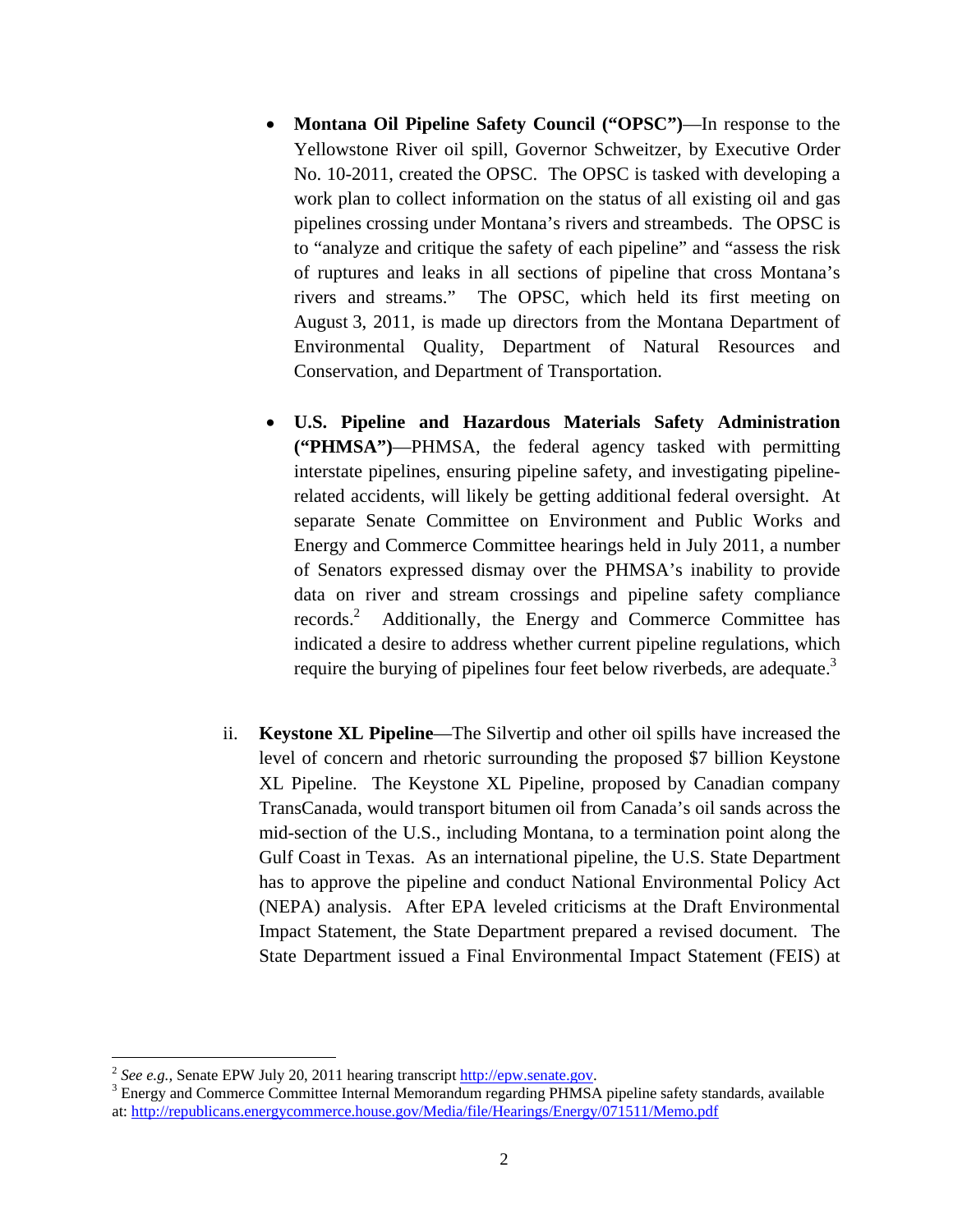- **Montana Oil Pipeline Safety Council ("OPSC")**—In response to the Yellowstone River oil spill, Governor Schweitzer, by Executive Order No. 10-2011, created the OPSC. The OPSC is tasked with developing a work plan to collect information on the status of all existing oil and gas pipelines crossing under Montana's rivers and streambeds. The OPSC is to "analyze and critique the safety of each pipeline" and "assess the risk of ruptures and leaks in all sections of pipeline that cross Montana's rivers and streams." The OPSC, which held its first meeting on August 3, 2011, is made up directors from the Montana Department of Environmental Quality, Department of Natural Resources and Conservation, and Department of Transportation.
- **U.S. Pipeline and Hazardous Materials Safety Administration ("PHMSA")**—PHMSA, the federal agency tasked with permitting interstate pipelines, ensuring pipeline safety, and investigating pipelinerelated accidents, will likely be getting additional federal oversight. At separate Senate Committee on Environment and Public Works and Energy and Commerce Committee hearings held in July 2011, a number of Senators expressed dismay over the PHMSA's inability to provide data on river and stream crossings and pipeline safety compliance records.<sup>2</sup> Additionally, the Energy and Commerce Committee has indicated a desire to address whether current pipeline regulations, which require the burying of pipelines four feet below riverbeds, are adequate.<sup>3</sup>
- ii. **Keystone XL Pipeline**—The Silvertip and other oil spills have increased the level of concern and rhetoric surrounding the proposed \$7 billion Keystone XL Pipeline. The Keystone XL Pipeline, proposed by Canadian company TransCanada, would transport bitumen oil from Canada's oil sands across the mid-section of the U.S., including Montana, to a termination point along the Gulf Coast in Texas. As an international pipeline, the U.S. State Department has to approve the pipeline and conduct National Environmental Policy Act (NEPA) analysis. After EPA leveled criticisms at the Draft Environmental Impact Statement, the State Department prepared a revised document. The State Department issued a Final Environmental Impact Statement (FEIS) at

<sup>&</sup>lt;sup>2</sup> See e.g., Senate EPW July 20, 2011 hearing transcript http://epw.senate.gov.

<sup>&</sup>lt;sup>3</sup> Energy and Commerce Committee Internal Memorandum regarding PHMSA pipeline safety standards, available at: http://republicans.energycommerce.house.gov/Media/file/Hearings/Energy/071511/Memo.pdf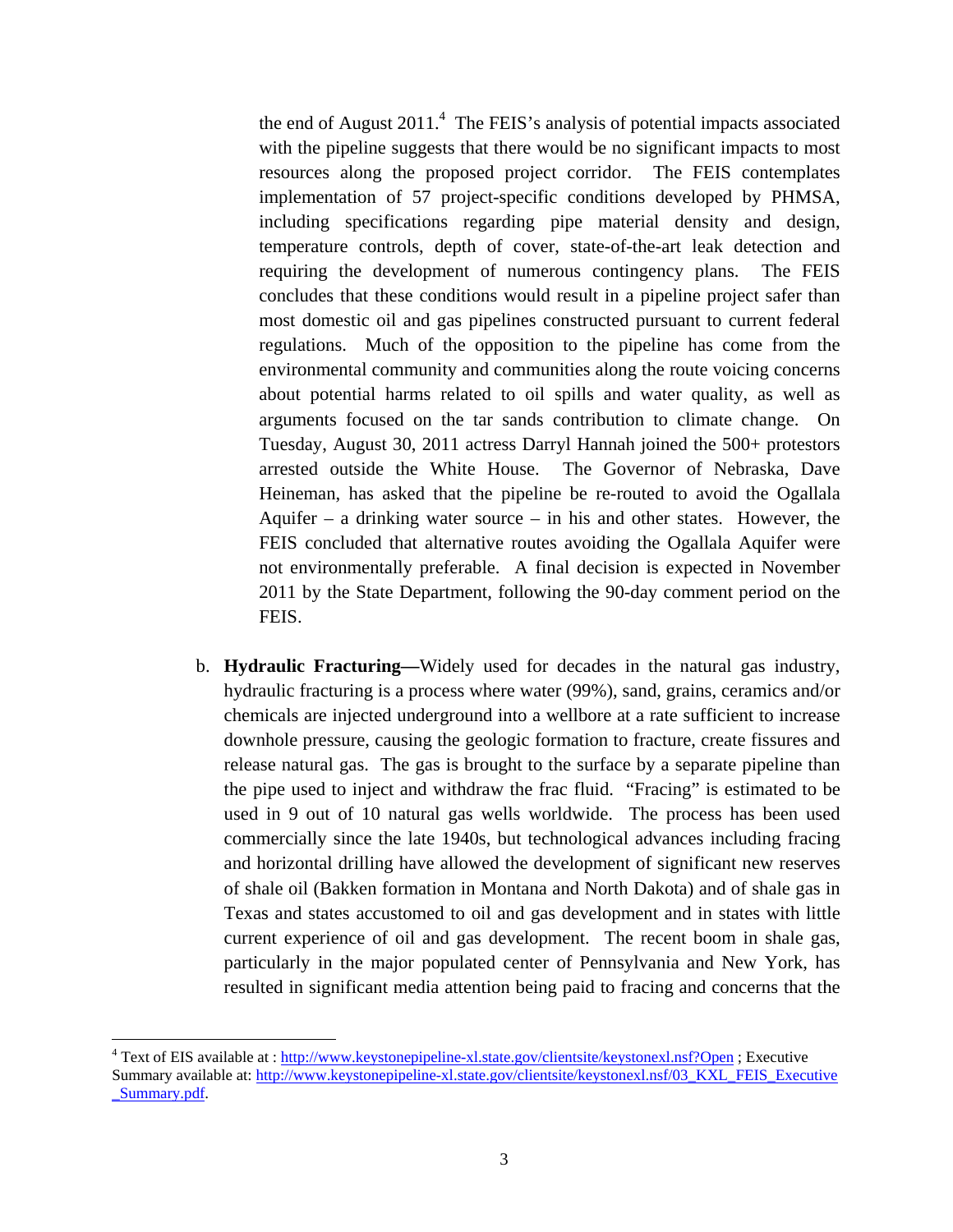the end of August  $2011<sup>4</sup>$ . The FEIS's analysis of potential impacts associated with the pipeline suggests that there would be no significant impacts to most resources along the proposed project corridor. The FEIS contemplates implementation of 57 project-specific conditions developed by PHMSA, including specifications regarding pipe material density and design, temperature controls, depth of cover, state-of-the-art leak detection and requiring the development of numerous contingency plans. The FEIS concludes that these conditions would result in a pipeline project safer than most domestic oil and gas pipelines constructed pursuant to current federal regulations. Much of the opposition to the pipeline has come from the environmental community and communities along the route voicing concerns about potential harms related to oil spills and water quality, as well as arguments focused on the tar sands contribution to climate change. On Tuesday, August 30, 2011 actress Darryl Hannah joined the 500+ protestors arrested outside the White House. The Governor of Nebraska, Dave Heineman, has asked that the pipeline be re-routed to avoid the Ogallala Aquifer – a drinking water source – in his and other states. However, the FEIS concluded that alternative routes avoiding the Ogallala Aquifer were not environmentally preferable. A final decision is expected in November 2011 by the State Department, following the 90-day comment period on the FEIS.

b. **Hydraulic Fracturing—**Widely used for decades in the natural gas industry, hydraulic fracturing is a process where water (99%), sand, grains, ceramics and/or chemicals are injected underground into a wellbore at a rate sufficient to increase downhole pressure, causing the geologic formation to fracture, create fissures and release natural gas. The gas is brought to the surface by a separate pipeline than the pipe used to inject and withdraw the frac fluid."Fracing" is estimated to be used in 9 out of 10 natural gas wells worldwide. The process has been used commercially since the late 1940s, but technological advances including fracing and horizontal drilling have allowed the development of significant new reserves of shale oil (Bakken formation in Montana and North Dakota) and of shale gas in Texas and states accustomed to oil and gas development and in states with little current experience of oil and gas development. The recent boom in shale gas, particularly in the major populated center of Pennsylvania and New York, has resulted in significant media attention being paid to fracing and concerns that the

<u>.</u>

<sup>&</sup>lt;sup>4</sup> Text of EIS available at : http://www.keystonepipeline-xl.state.gov/clientsite/keystonexl.nsf?Open ; Executive Summary available at: http://www.keystonepipeline-xl.state.gov/clientsite/keystonexl.nsf/03\_KXL\_FEIS\_Executive \_Summary.pdf.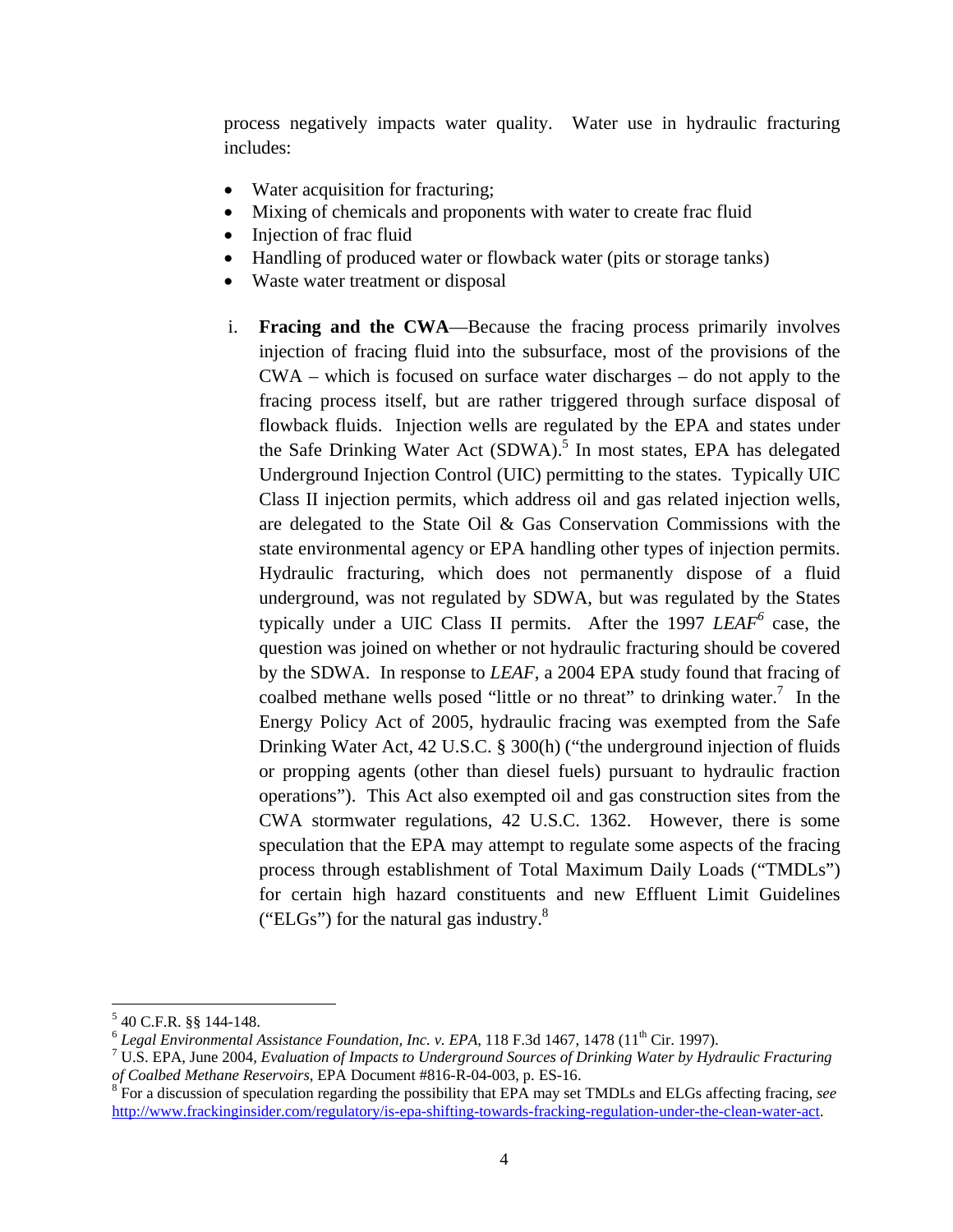process negatively impacts water quality. Water use in hydraulic fracturing includes:

- Water acquisition for fracturing;
- Mixing of chemicals and proponents with water to create frac fluid
- Injection of frac fluid
- Handling of produced water or flowback water (pits or storage tanks)
- Waste water treatment or disposal
- i. **Fracing and the CWA**—Because the fracing process primarily involves injection of fracing fluid into the subsurface, most of the provisions of the CWA – which is focused on surface water discharges – do not apply to the fracing process itself, but are rather triggered through surface disposal of flowback fluids. Injection wells are regulated by the EPA and states under the Safe Drinking Water Act (SDWA).<sup>5</sup> In most states, EPA has delegated Underground Injection Control (UIC) permitting to the states. Typically UIC Class II injection permits, which address oil and gas related injection wells, are delegated to the State Oil & Gas Conservation Commissions with the state environmental agency or EPA handling other types of injection permits. Hydraulic fracturing, which does not permanently dispose of a fluid underground, was not regulated by SDWA, but was regulated by the States typically under a UIC Class II permits. After the 1997 *LEAF<sup>6</sup>* case, the question was joined on whether or not hydraulic fracturing should be covered by the SDWA. In response to *LEAF*, a 2004 EPA study found that fracing of coalbed methane wells posed "little or no threat" to drinking water.<sup>7</sup> In the Energy Policy Act of 2005, hydraulic fracing was exempted from the Safe Drinking Water Act, 42 U.S.C. § 300(h) ("the underground injection of fluids or propping agents (other than diesel fuels) pursuant to hydraulic fraction operations"). This Act also exempted oil and gas construction sites from the CWA stormwater regulations, 42 U.S.C. 1362. However, there is some speculation that the EPA may attempt to regulate some aspects of the fracing process through establishment of Total Maximum Daily Loads ("TMDLs") for certain high hazard constituents and new Effluent Limit Guidelines ("ELGs") for the natural gas industry. $8$

 $5$  40 C.F.R. §§ 144-148.

 $6$  *Legal Environmental Assistance Foundation, Inc. v. EPA,* 118 F.3d 1467, 1478 (11<sup>th</sup> Cir. 1997).

U.S. EPA, June 2004, *Evaluation of Impacts to Underground Sources of Drinking Water by Hydraulic Fracturing of Coalbed Methane Reservoirs*, EPA Document #816-R-04-003, p. ES-16. 8

For a discussion of speculation regarding the possibility that EPA may set TMDLs and ELGs affecting fracing, *see*  http://www.frackinginsider.com/regulatory/is-epa-shifting-towards-fracking-regulation-under-the-clean-water-act.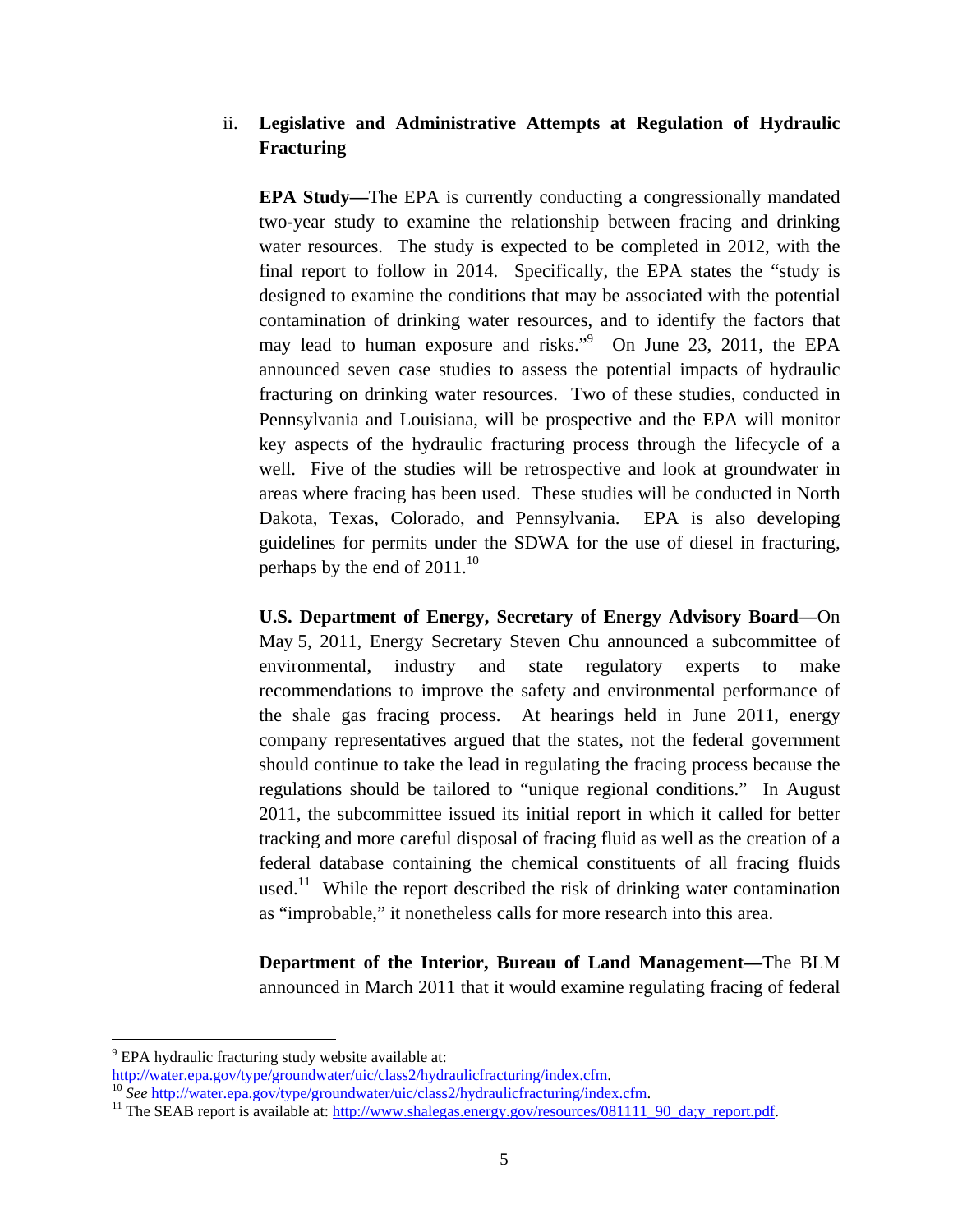## ii. **Legislative and Administrative Attempts at Regulation of Hydraulic Fracturing**

**EPA Study—**The EPA is currently conducting a congressionally mandated two-year study to examine the relationship between fracing and drinking water resources. The study is expected to be completed in 2012, with the final report to follow in 2014. Specifically, the EPA states the "study is designed to examine the conditions that may be associated with the potential contamination of drinking water resources, and to identify the factors that may lead to human exposure and risks."<sup>9</sup> On June 23, 2011, the EPA announced seven case studies to assess the potential impacts of hydraulic fracturing on drinking water resources. Two of these studies, conducted in Pennsylvania and Louisiana, will be prospective and the EPA will monitor key aspects of the hydraulic fracturing process through the lifecycle of a well. Five of the studies will be retrospective and look at groundwater in areas where fracing has been used. These studies will be conducted in North Dakota, Texas, Colorado, and Pennsylvania. EPA is also developing guidelines for permits under the SDWA for the use of diesel in fracturing, perhaps by the end of  $2011$ <sup>10</sup>

**U.S. Department of Energy, Secretary of Energy Advisory Board—**On May 5, 2011, Energy Secretary Steven Chu announced a subcommittee of environmental, industry and state regulatory experts to make recommendations to improve the safety and environmental performance of the shale gas fracing process. At hearings held in June 2011, energy company representatives argued that the states, not the federal government should continue to take the lead in regulating the fracing process because the regulations should be tailored to "unique regional conditions." In August 2011, the subcommittee issued its initial report in which it called for better tracking and more careful disposal of fracing fluid as well as the creation of a federal database containing the chemical constituents of all fracing fluids used.<sup>11</sup> While the report described the risk of drinking water contamination as "improbable," it nonetheless calls for more research into this area.

**Department of the Interior, Bureau of Land Management—**The BLM announced in March 2011 that it would examine regulating fracing of federal

<sup>&</sup>lt;sup>9</sup> EPA hydraulic fracturing study website available at:

http://water.epa.gov/type/groundwater/uic/class2/hydraulicfracturing/index.cfm.<br>
<sup>10</sup> See http://water.epa.gov/type/groundwater/uic/class2/hydraulicfracturing/index.cfm.<br>
<sup>11</sup> The SEAB report is available at: http://www.sh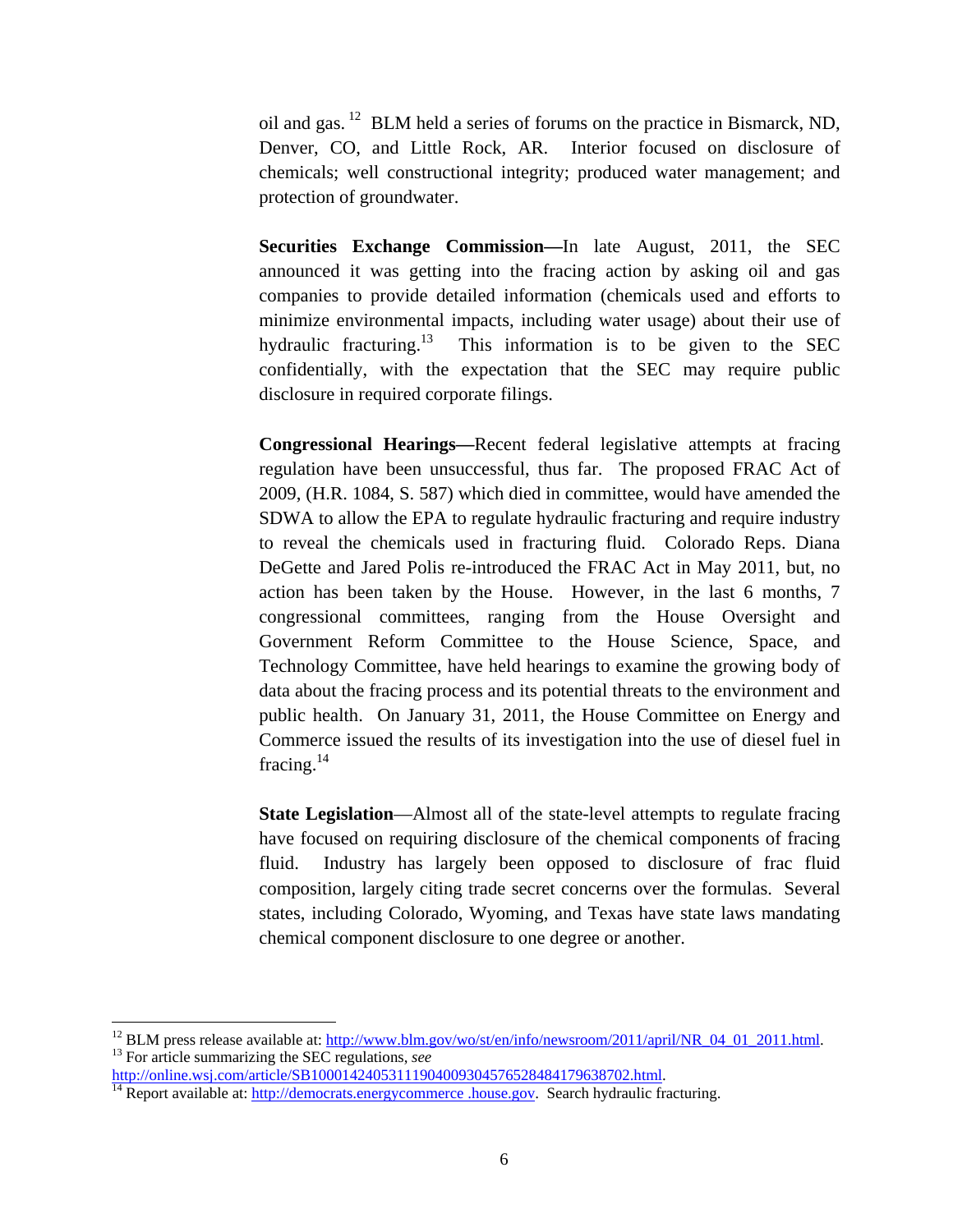oil and gas. 12 BLM held a series of forums on the practice in Bismarck, ND, Denver, CO, and Little Rock, AR. Interior focused on disclosure of chemicals; well constructional integrity; produced water management; and protection of groundwater.

**Securities Exchange Commission—**In late August, 2011, the SEC announced it was getting into the fracing action by asking oil and gas companies to provide detailed information (chemicals used and efforts to minimize environmental impacts, including water usage) about their use of hydraulic fracturing.<sup>13</sup> This information is to be given to the SEC confidentially, with the expectation that the SEC may require public disclosure in required corporate filings.

**Congressional Hearings—**Recent federal legislative attempts at fracing regulation have been unsuccessful, thus far. The proposed FRAC Act of 2009, (H.R. 1084, S. 587) which died in committee, would have amended the SDWA to allow the EPA to regulate hydraulic fracturing and require industry to reveal the chemicals used in fracturing fluid. Colorado Reps. Diana DeGette and Jared Polis re-introduced the FRAC Act in May 2011, but, no action has been taken by the House. However, in the last 6 months, 7 congressional committees, ranging from the House Oversight and Government Reform Committee to the House Science, Space, and Technology Committee, have held hearings to examine the growing body of data about the fracing process and its potential threats to the environment and public health. On January 31, 2011, the House Committee on Energy and Commerce issued the results of its investigation into the use of diesel fuel in fracing. $^{14}$ 

**State Legislation**—Almost all of the state-level attempts to regulate fracing have focused on requiring disclosure of the chemical components of fracing fluid. Industry has largely been opposed to disclosure of frac fluid composition, largely citing trade secret concerns over the formulas. Several states, including Colorado, Wyoming, and Texas have state laws mandating chemical component disclosure to one degree or another.

<sup>&</sup>lt;sup>12</sup> BLM press release available at: http://www.blm.gov/wo/st/en/info/newsroom/2011/april/NR\_04\_01\_2011.html.<br><sup>13</sup> For article summarizing the SEC regulations, *see* http://online.wsj.com/article/SB100014240531119040093045

http://democrats.energycommerce .house.gov. Search hydraulic fracturing.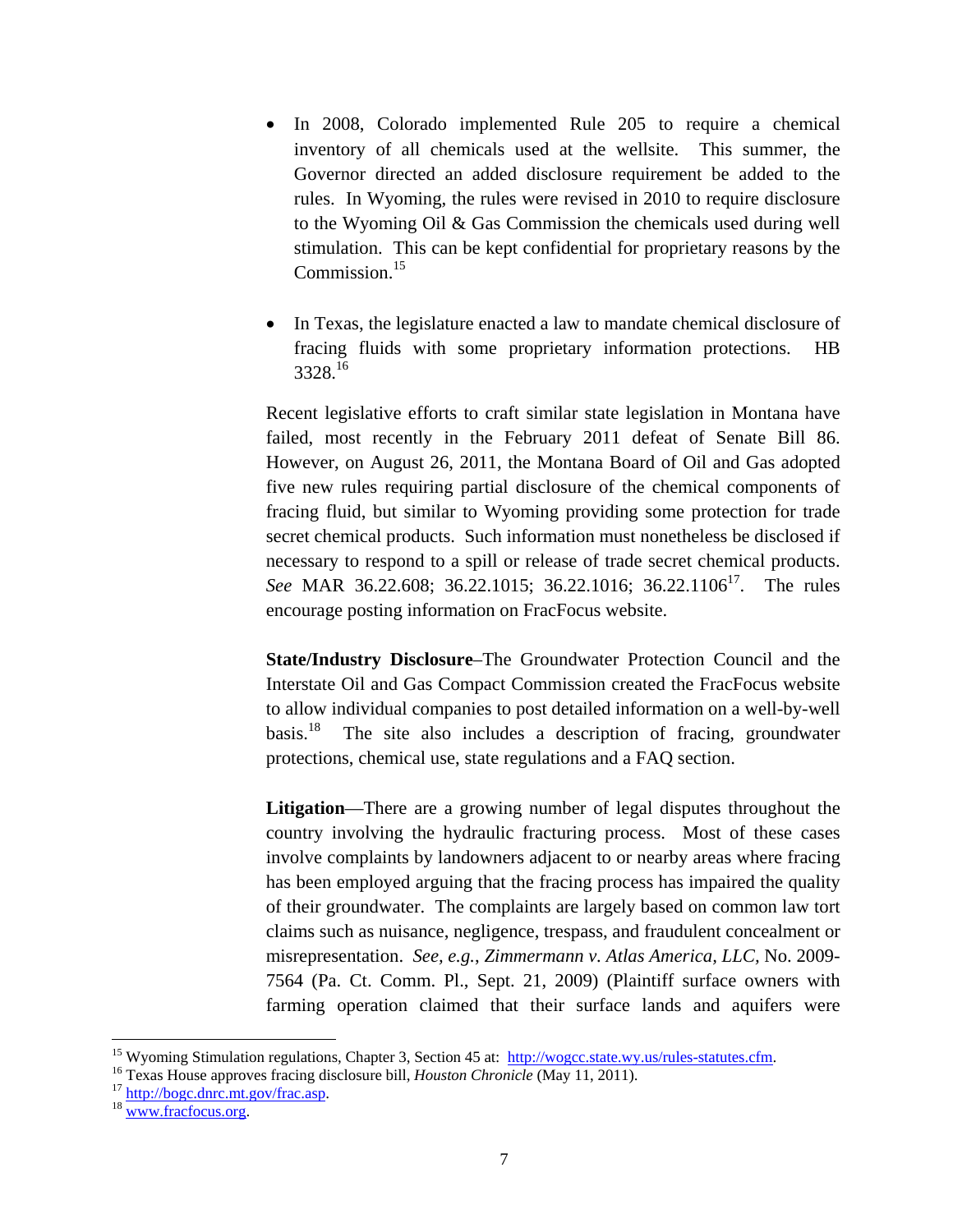- In 2008, Colorado implemented Rule 205 to require a chemical inventory of all chemicals used at the wellsite. This summer, the Governor directed an added disclosure requirement be added to the rules. In Wyoming, the rules were revised in 2010 to require disclosure to the Wyoming Oil & Gas Commission the chemicals used during well stimulation. This can be kept confidential for proprietary reasons by the Commission.<sup>15</sup>
- In Texas, the legislature enacted a law to mandate chemical disclosure of fracing fluids with some proprietary information protections. HB 3328.16

Recent legislative efforts to craft similar state legislation in Montana have failed, most recently in the February 2011 defeat of Senate Bill 86. However, on August 26, 2011, the Montana Board of Oil and Gas adopted five new rules requiring partial disclosure of the chemical components of fracing fluid, but similar to Wyoming providing some protection for trade secret chemical products. Such information must nonetheless be disclosed if necessary to respond to a spill or release of trade secret chemical products. *See* MAR 36.22.608; 36.22.1015; 36.22.1016; 36.22.1106<sup>17</sup>. The rules encourage posting information on FracFocus website.

**State/Industry Disclosure**–The Groundwater Protection Council and the Interstate Oil and Gas Compact Commission created the FracFocus website to allow individual companies to post detailed information on a well-by-well basis.<sup>18</sup> The site also includes a description of fracing, groundwater protections, chemical use, state regulations and a FAQ section.

**Litigation**—There are a growing number of legal disputes throughout the country involving the hydraulic fracturing process. Most of these cases involve complaints by landowners adjacent to or nearby areas where fracing has been employed arguing that the fracing process has impaired the quality of their groundwater. The complaints are largely based on common law tort claims such as nuisance, negligence, trespass, and fraudulent concealment or misrepresentation. *See, e.g.*, *Zimmermann v. Atlas America, LLC,* No. 2009- 7564 (Pa. Ct. Comm. Pl., Sept. 21, 2009) (Plaintiff surface owners with farming operation claimed that their surface lands and aquifers were

<sup>&</sup>lt;sup>15</sup> Wyoming Stimulation regulations, Chapter 3, Section 45 at:  $\frac{http://wogcc.state.wy.us/rules-statutes.cfm}{http://wogcc.state.wy.us/rules-statutes.cfm}$ <br><sup>16</sup> Texas House approves fracing disclosure bill, *Houston Chronicle* (May 11, 2011).<br><sup>17</sup> http://bogc.dnrc.mt.gov/fra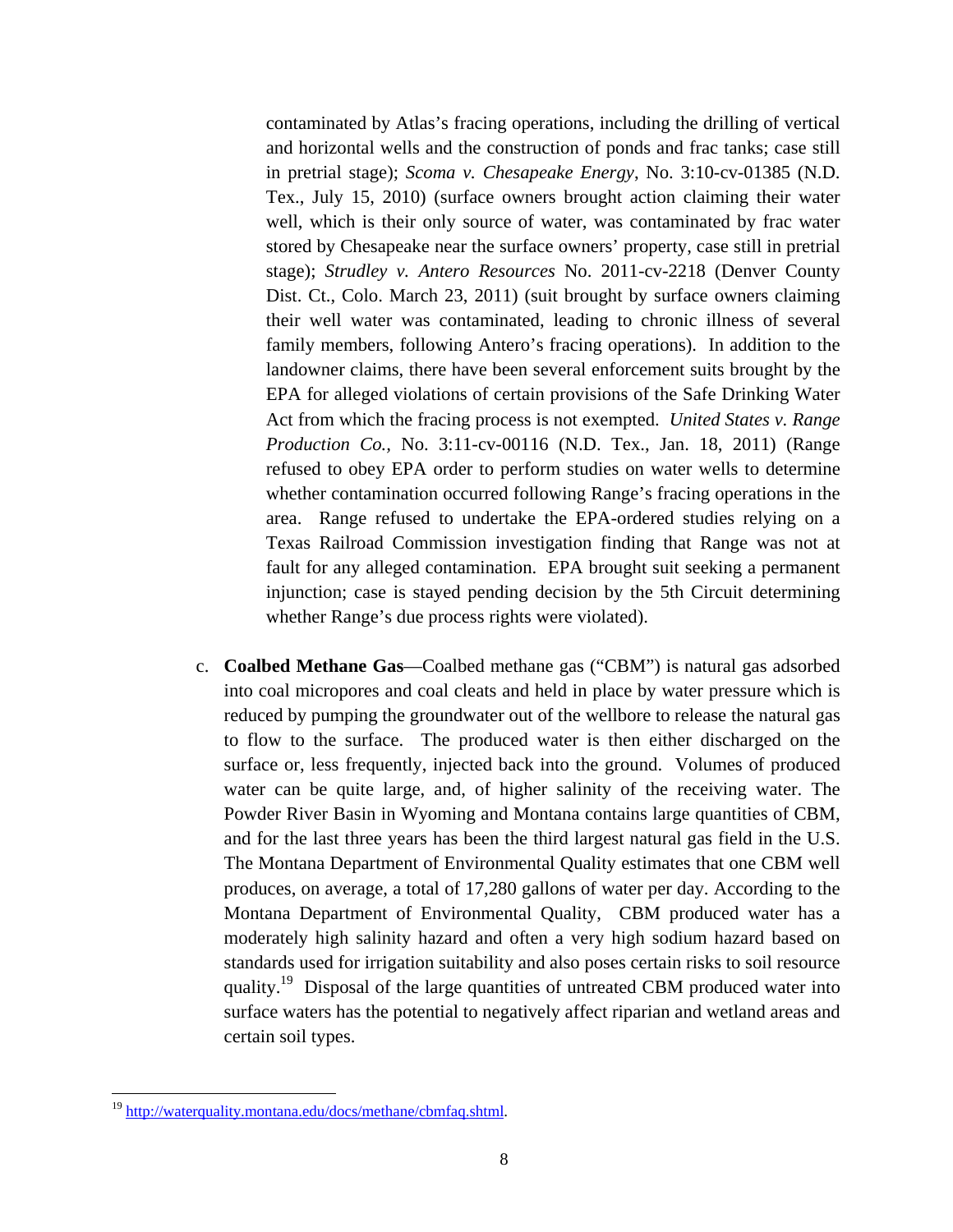contaminated by Atlas's fracing operations, including the drilling of vertical and horizontal wells and the construction of ponds and frac tanks; case still in pretrial stage); *Scoma v. Chesapeake Energy*, No. 3:10-cv-01385 (N.D. Tex., July 15, 2010) (surface owners brought action claiming their water well, which is their only source of water, was contaminated by frac water stored by Chesapeake near the surface owners' property, case still in pretrial stage); *Strudley v. Antero Resources* No. 2011-cv-2218 (Denver County Dist. Ct., Colo. March 23, 2011) (suit brought by surface owners claiming their well water was contaminated, leading to chronic illness of several family members, following Antero's fracing operations). In addition to the landowner claims, there have been several enforcement suits brought by the EPA for alleged violations of certain provisions of the Safe Drinking Water Act from which the fracing process is not exempted. *United States v. Range Production Co.,* No. 3:11-cv-00116 (N.D. Tex., Jan. 18, 2011) (Range refused to obey EPA order to perform studies on water wells to determine whether contamination occurred following Range's fracing operations in the area. Range refused to undertake the EPA-ordered studies relying on a Texas Railroad Commission investigation finding that Range was not at fault for any alleged contamination. EPA brought suit seeking a permanent injunction; case is stayed pending decision by the 5th Circuit determining whether Range's due process rights were violated).

c. **Coalbed Methane Gas**—Coalbed methane gas ("CBM") is natural gas adsorbed into coal micropores and coal cleats and held in place by water pressure which is reduced by pumping the groundwater out of the wellbore to release the natural gas to flow to the surface. The produced water is then either discharged on the surface or, less frequently, injected back into the ground. Volumes of produced water can be quite large, and, of higher salinity of the receiving water. The Powder River Basin in Wyoming and Montana contains large quantities of CBM, and for the last three years has been the third largest natural gas field in the U.S. The Montana Department of Environmental Quality estimates that one CBM well produces, on average, a total of 17,280 gallons of water per day. According to the Montana Department of Environmental Quality, CBM produced water has a moderately high salinity hazard and often a very high sodium hazard based on standards used for irrigation suitability and also poses certain risks to soil resource quality.<sup>19</sup> Disposal of the large quantities of untreated CBM produced water into surface waters has the potential to negatively affect riparian and wetland areas and certain soil types.

<u>.</u>

<sup>19</sup> http://waterquality.montana.edu/docs/methane/cbmfaq.shtml.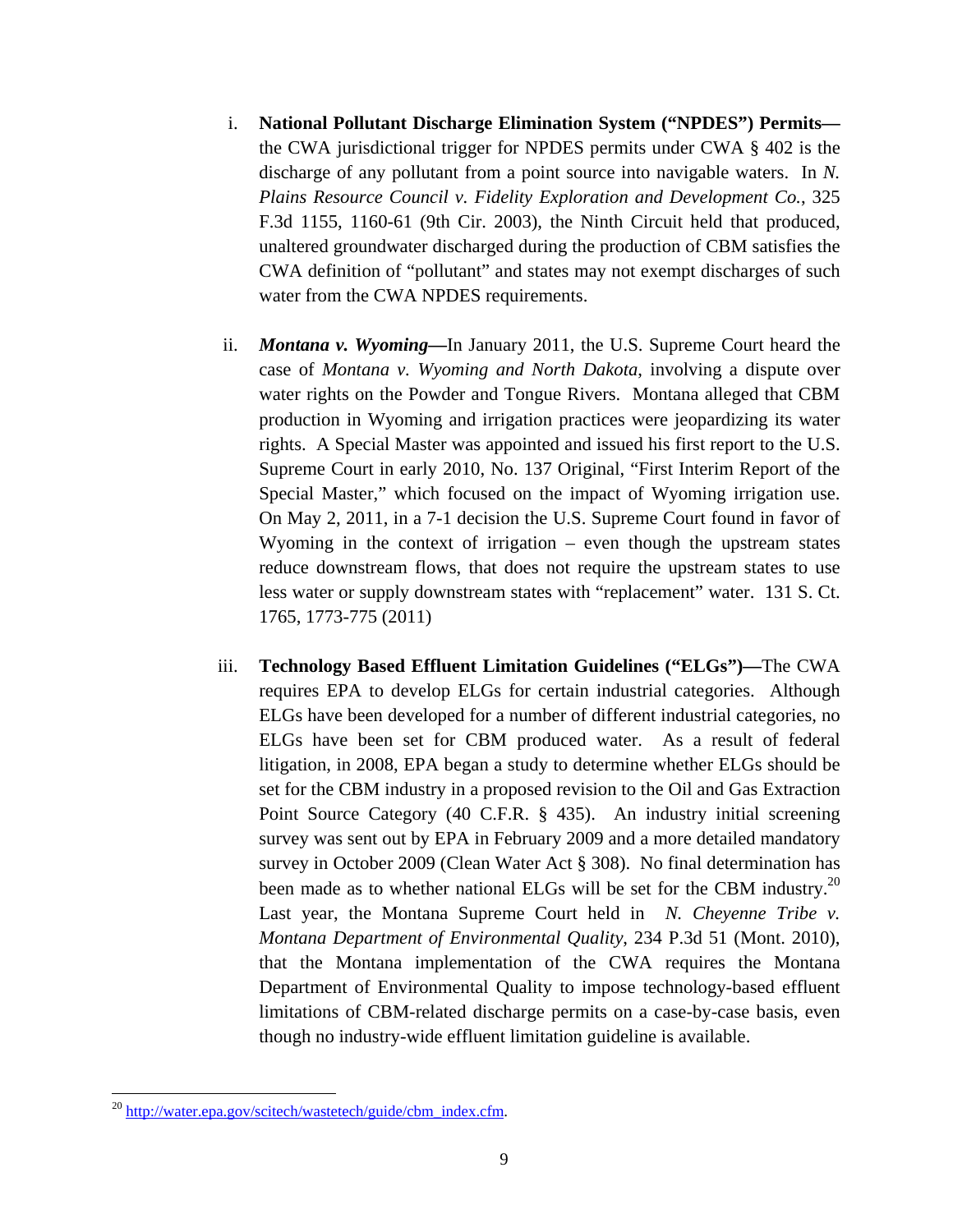- i. **National Pollutant Discharge Elimination System ("NPDES") Permits** the CWA jurisdictional trigger for NPDES permits under CWA § 402 is the discharge of any pollutant from a point source into navigable waters. In *N. Plains Resource Council v. Fidelity Exploration and Development Co.*, 325 F.3d 1155, 1160-61 (9th Cir. 2003), the Ninth Circuit held that produced, unaltered groundwater discharged during the production of CBM satisfies the CWA definition of "pollutant" and states may not exempt discharges of such water from the CWA NPDES requirements.
- ii. *Montana v. Wyoming***—**In January 2011, the U.S. Supreme Court heard the case of *Montana v. Wyoming and North Dakota*, involving a dispute over water rights on the Powder and Tongue Rivers. Montana alleged that CBM production in Wyoming and irrigation practices were jeopardizing its water rights. A Special Master was appointed and issued his first report to the U.S. Supreme Court in early 2010, No. 137 Original, "First Interim Report of the Special Master," which focused on the impact of Wyoming irrigation use. On May 2, 2011, in a 7-1 decision the U.S. Supreme Court found in favor of Wyoming in the context of irrigation – even though the upstream states reduce downstream flows, that does not require the upstream states to use less water or supply downstream states with "replacement" water. 131 S. Ct. 1765, 1773-775 (2011)
- iii. **Technology Based Effluent Limitation Guidelines ("ELGs")—**The CWA requires EPA to develop ELGs for certain industrial categories. Although ELGs have been developed for a number of different industrial categories, no ELGs have been set for CBM produced water. As a result of federal litigation, in 2008, EPA began a study to determine whether ELGs should be set for the CBM industry in a proposed revision to the Oil and Gas Extraction Point Source Category (40 C.F.R. § 435). An industry initial screening survey was sent out by EPA in February 2009 and a more detailed mandatory survey in October 2009 (Clean Water Act § 308). No final determination has been made as to whether national ELGs will be set for the CBM industry.<sup>20</sup> Last year, the Montana Supreme Court held in *N. Cheyenne Tribe v. Montana Department of Environmental Quality*, 234 P.3d 51 (Mont. 2010), that the Montana implementation of the CWA requires the Montana Department of Environmental Quality to impose technology-based effluent limitations of CBM-related discharge permits on a case-by-case basis, even though no industry-wide effluent limitation guideline is available.

<u>.</u>

 $^{20}$  http://water.epa.gov/scitech/wastetech/guide/cbm\_index.cfm.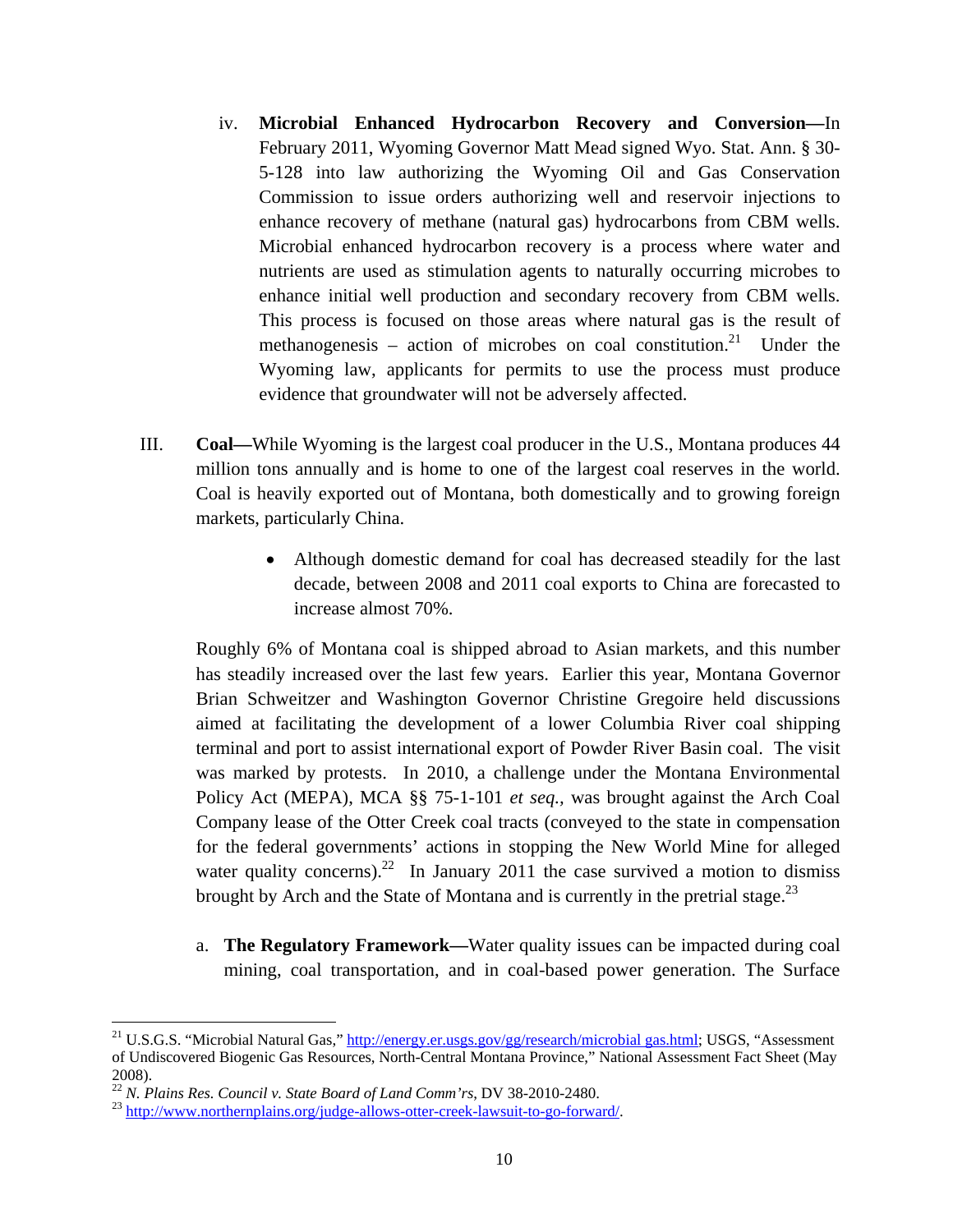- iv. **Microbial Enhanced Hydrocarbon Recovery and Conversion—**In February 2011, Wyoming Governor Matt Mead signed Wyo. Stat. Ann. § 30- 5-128 into law authorizing the Wyoming Oil and Gas Conservation Commission to issue orders authorizing well and reservoir injections to enhance recovery of methane (natural gas) hydrocarbons from CBM wells. Microbial enhanced hydrocarbon recovery is a process where water and nutrients are used as stimulation agents to naturally occurring microbes to enhance initial well production and secondary recovery from CBM wells. This process is focused on those areas where natural gas is the result of methanogenesis – action of microbes on coal constitution.<sup>21</sup> Under the Wyoming law, applicants for permits to use the process must produce evidence that groundwater will not be adversely affected.
- III. **Coal—**While Wyoming is the largest coal producer in the U.S., Montana produces 44 million tons annually and is home to one of the largest coal reserves in the world. Coal is heavily exported out of Montana, both domestically and to growing foreign markets, particularly China.
	- Although domestic demand for coal has decreased steadily for the last decade, between 2008 and 2011 coal exports to China are forecasted to increase almost 70%.

Roughly 6% of Montana coal is shipped abroad to Asian markets, and this number has steadily increased over the last few years. Earlier this year, Montana Governor Brian Schweitzer and Washington Governor Christine Gregoire held discussions aimed at facilitating the development of a lower Columbia River coal shipping terminal and port to assist international export of Powder River Basin coal. The visit was marked by protests. In 2010, a challenge under the Montana Environmental Policy Act (MEPA), MCA §§ 75-1-101 *et seq.,* was brought against the Arch Coal Company lease of the Otter Creek coal tracts (conveyed to the state in compensation for the federal governments' actions in stopping the New World Mine for alleged water quality concerns).<sup>22</sup> In January 2011 the case survived a motion to dismiss brought by Arch and the State of Montana and is currently in the pretrial stage.<sup>23</sup>

a. **The Regulatory Framework—**Water quality issues can be impacted during coal mining, coal transportation, and in coal-based power generation. The Surface

<sup>&</sup>lt;sup>21</sup> U.S.G.S. "Microbial Natural Gas," http://energy.er.usgs.gov/gg/research/microbial gas.html; USGS, "Assessment of Undiscovered Biogenic Gas Resources, North-Central Montana Province," National Assessment Fact Sheet (May 2008).<br><sup>22</sup> N. Plains Res. Council v. State Board of Land Comm'rs, DV 38-2010-2480.

<sup>&</sup>lt;sup>23</sup> http://www.northernplains.org/judge-allows-otter-creek-lawsuit-to-go-forward/.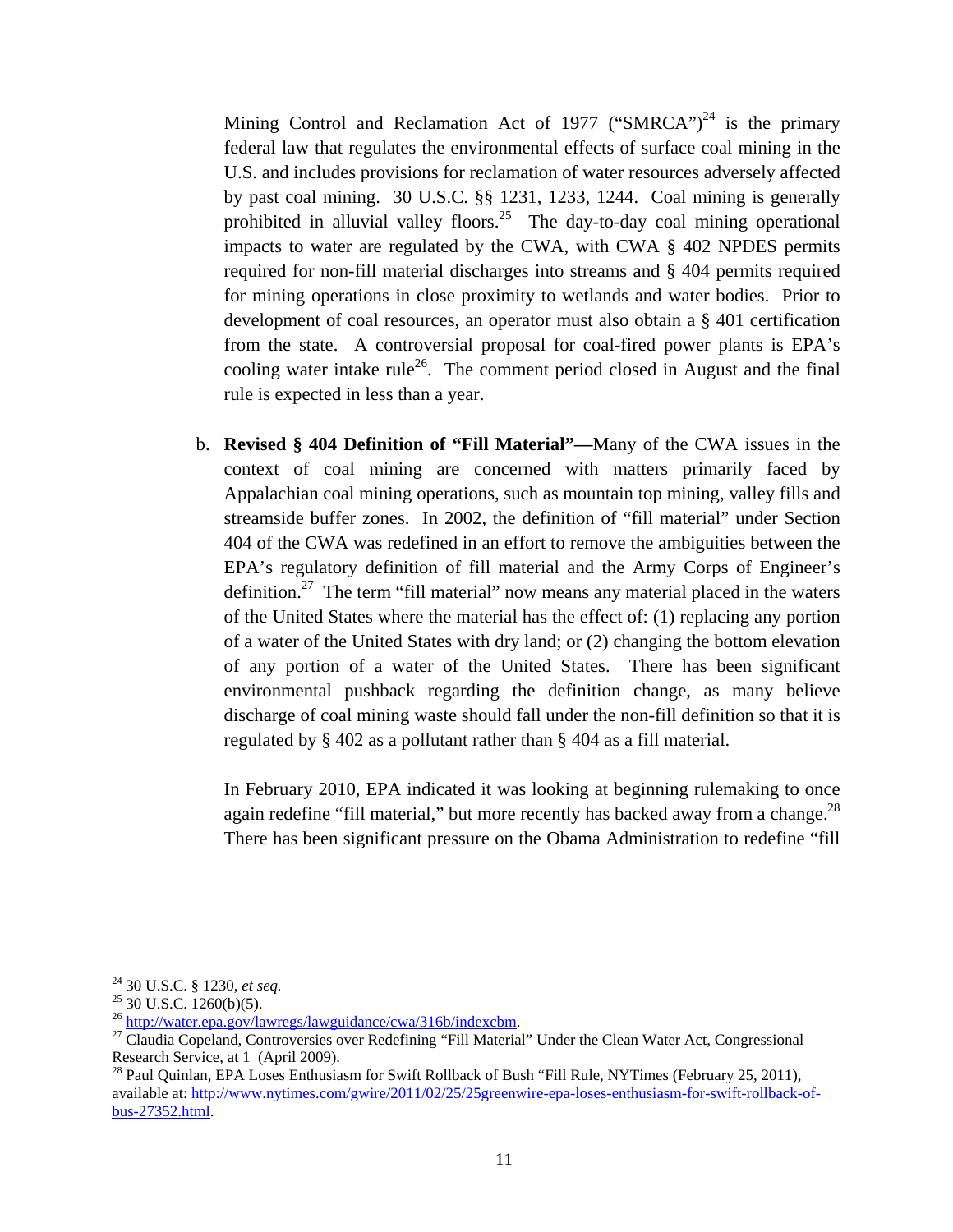Mining Control and Reclamation Act of 1977 ("SMRCA")<sup>24</sup> is the primary federal law that regulates the environmental effects of surface coal mining in the U.S. and includes provisions for reclamation of water resources adversely affected by past coal mining. 30 U.S.C. §§ 1231, 1233, 1244. Coal mining is generally prohibited in alluvial valley floors.<sup>25</sup> The day-to-day coal mining operational impacts to water are regulated by the CWA, with CWA § 402 NPDES permits required for non-fill material discharges into streams and § 404 permits required for mining operations in close proximity to wetlands and water bodies. Prior to development of coal resources, an operator must also obtain a § 401 certification from the state. A controversial proposal for coal-fired power plants is EPA's cooling water intake rule<sup>26</sup>. The comment period closed in August and the final rule is expected in less than a year.

b. **Revised § 404 Definition of "Fill Material"—**Many of the CWA issues in the context of coal mining are concerned with matters primarily faced by Appalachian coal mining operations, such as mountain top mining, valley fills and streamside buffer zones. In 2002, the definition of "fill material" under Section 404 of the CWA was redefined in an effort to remove the ambiguities between the EPA's regulatory definition of fill material and the Army Corps of Engineer's definition.<sup>27</sup> The term "fill material" now means any material placed in the waters of the United States where the material has the effect of: (1) replacing any portion of a water of the United States with dry land; or (2) changing the bottom elevation of any portion of a water of the United States. There has been significant environmental pushback regarding the definition change, as many believe discharge of coal mining waste should fall under the non-fill definition so that it is regulated by § 402 as a pollutant rather than § 404 as a fill material.

In February 2010, EPA indicated it was looking at beginning rulemaking to once again redefine "fill material," but more recently has backed away from a change.<sup>28</sup> There has been significant pressure on the Obama Administration to redefine "fill

<sup>&</sup>lt;sup>24</sup> 30 U.S.C. § 1230, et seq.

<sup>&</sup>lt;sup>25</sup> 30 U.S.C.  $\frac{1260(b)(5)}{25}$ .<br><sup>26</sup> http://water.epa.gov/lawregs/lawguidance/cwa/316b/indexcbm.

 $^{27}$  Claudia Copeland, Controversies over Redefining "Fill Material" Under the Clean Water Act, Congressional Research Service, at 1 (April 2009).<br><sup>28</sup> Paul Quinlan, EPA Loses Enthusiasm for Swift Rollback of Bush "Fill Rule, NYTimes (February 25, 2011),

available at: http://www.nytimes.com/gwire/2011/02/25/25greenwire-epa-loses-enthusiasm-for-swift-rollback-ofbus-27352.html.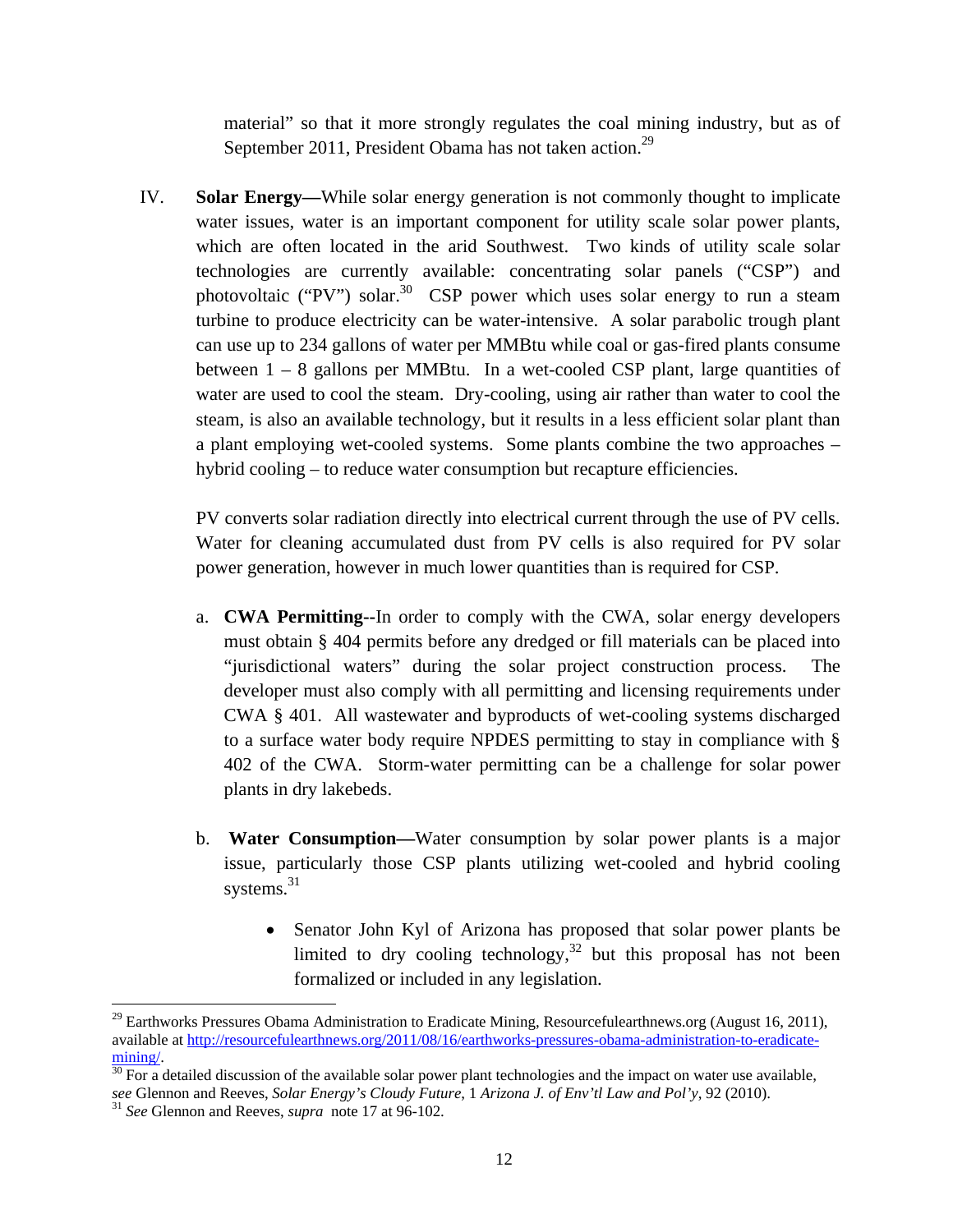material" so that it more strongly regulates the coal mining industry, but as of September 2011, President Obama has not taken action.<sup>29</sup>

IV. **Solar Energy—**While solar energy generation is not commonly thought to implicate water issues, water is an important component for utility scale solar power plants, which are often located in the arid Southwest.Two kinds of utility scale solar technologies are currently available: concentrating solar panels ("CSP") and photovoltaic ("PV") solar.<sup>30</sup> CSP power which uses solar energy to run a steam turbine to produce electricity can be water-intensive. A solar parabolic trough plant can use up to 234 gallons of water per MMBtu while coal or gas-fired plants consume between  $1 - 8$  gallons per MMBtu. In a wet-cooled CSP plant, large quantities of water are used to cool the steam. Dry-cooling, using air rather than water to cool the steam, is also an available technology, but it results in a less efficient solar plant than a plant employing wet-cooled systems. Some plants combine the two approaches – hybrid cooling – to reduce water consumption but recapture efficiencies.

PV converts solar radiation directly into electrical current through the use of PV cells. Water for cleaning accumulated dust from PV cells is also required for PV solar power generation, however in much lower quantities than is required for CSP.

- a. **CWA Permitting--**In order to comply with the CWA, solar energy developers must obtain § 404 permits before any dredged or fill materials can be placed into "jurisdictional waters" during the solar project construction process. The developer must also comply with all permitting and licensing requirements under CWA § 401. All wastewater and byproducts of wet-cooling systems discharged to a surface water body require NPDES permitting to stay in compliance with § 402 of the CWA. Storm-water permitting can be a challenge for solar power plants in dry lakebeds.
- b. **Water Consumption—**Water consumption by solar power plants is a major issue, particularly those CSP plants utilizing wet-cooled and hybrid cooling systems.<sup>31</sup>
	- Senator John Kyl of Arizona has proposed that solar power plants be limited to dry cooling technology, $32$  but this proposal has not been formalized or included in any legislation.

<sup>&</sup>lt;sup>29</sup> Earthworks Pressures Obama Administration to Eradicate Mining, Resourcefulearthnews.org (August 16, 2011), available at http://resourcefulearthnews.org/2011/08/16/earthworks-pressures-obama-administration-to-eradicate-

 $\frac{\text{mining}}{30}$  For a detailed discussion of the available solar power plant technologies and the impact on water use available, *see* Glennon and Reeves, *Solar Energy's Cloudy Future*, 1 *Arizona J. of Env'tl Law and Pol'y*, 92 (2010). 31 *See* Glennon and Reeves, *supra* note 17 at 96-102.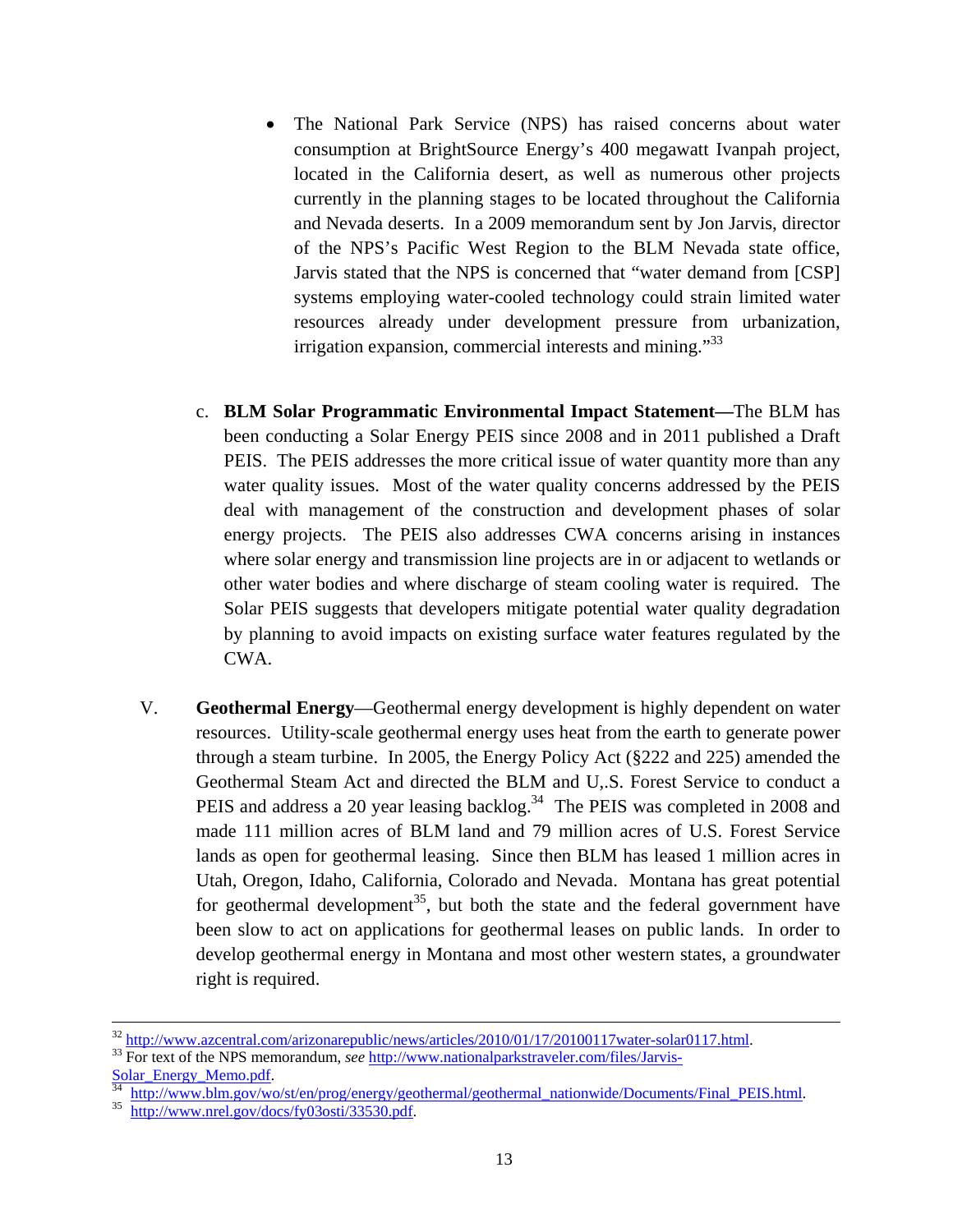- The National Park Service (NPS) has raised concerns about water consumption at BrightSource Energy's 400 megawatt Ivanpah project, located in the California desert, as well as numerous other projects currently in the planning stages to be located throughout the California and Nevada deserts. In a 2009 memorandum sent by Jon Jarvis, director of the NPS's Pacific West Region to the BLM Nevada state office, Jarvis stated that the NPS is concerned that "water demand from [CSP] systems employing water-cooled technology could strain limited water resources already under development pressure from urbanization, irrigation expansion, commercial interests and mining."<sup>33</sup>
- c. **BLM Solar Programmatic Environmental Impact Statement—**The BLM has been conducting a Solar Energy PEIS since 2008 and in 2011 published a Draft PEIS. The PEIS addresses the more critical issue of water quantity more than any water quality issues. Most of the water quality concerns addressed by the PEIS deal with management of the construction and development phases of solar energy projects. The PEIS also addresses CWA concerns arising in instances where solar energy and transmission line projects are in or adjacent to wetlands or other water bodies and where discharge of steam cooling water is required. The Solar PEIS suggests that developers mitigate potential water quality degradation by planning to avoid impacts on existing surface water features regulated by the CWA.
- V. **Geothermal Energy**—Geothermal energy development is highly dependent on water resources. Utility-scale geothermal energy uses heat from the earth to generate power through a steam turbine. In 2005, the Energy Policy Act (§222 and 225) amended the Geothermal Steam Act and directed the BLM and U,.S. Forest Service to conduct a PEIS and address a 20 year leasing backlog.<sup>34</sup> The PEIS was completed in 2008 and made 111 million acres of BLM land and 79 million acres of U.S. Forest Service lands as open for geothermal leasing. Since then BLM has leased 1 million acres in Utah, Oregon, Idaho, California, Colorado and Nevada. Montana has great potential for geothermal development<sup>35</sup>, but both the state and the federal government have been slow to act on applications for geothermal leases on public lands. In order to develop geothermal energy in Montana and most other western states, a groundwater right is required.

<sup>&</sup>lt;sup>32</sup> http://www.azcentral.com/arizonarepublic/news/articles/2010/01/17/20100117water-solar0117.html.<br><sup>33</sup> For text of the NPS memorandum, *see* <u>http://www.nationalparkstraveler.com/files/Jarvis-Solar\_Energy\_Memo.pdf</u>.<br><sup>34</sup>

<sup>&</sup>lt;sup>34</sup> http://www.blm.gov/wo/st/en/prog/energy/geothermal/geothermal\_nationwide/Documents/Final\_PEIS.html.<br><sup>35</sup> http://www.nrel.gov/docs/fy03osti/33530.pdf.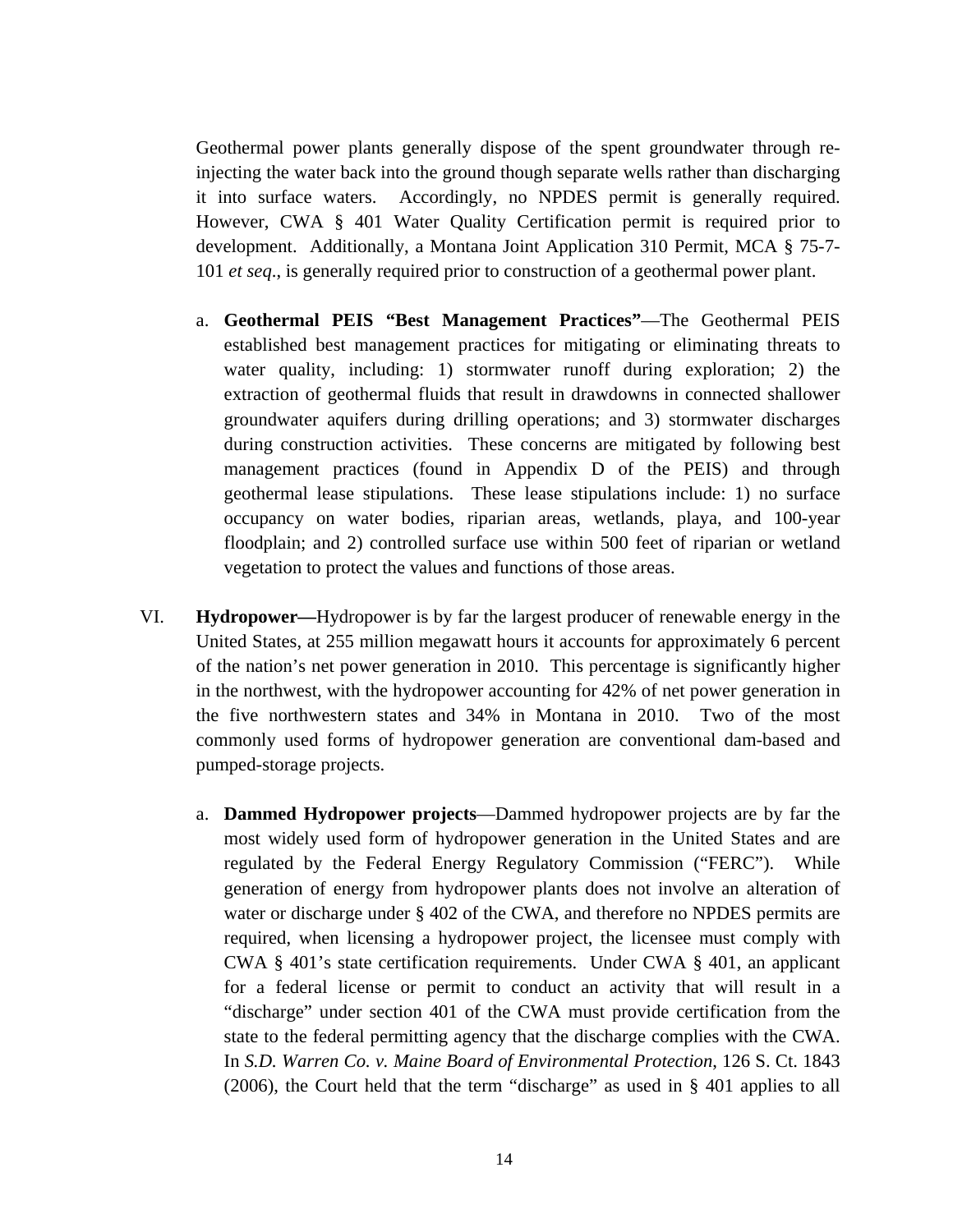Geothermal power plants generally dispose of the spent groundwater through reinjecting the water back into the ground though separate wells rather than discharging it into surface waters. Accordingly, no NPDES permit is generally required. However, CWA § 401 Water Quality Certification permit is required prior to development. Additionally, a Montana Joint Application 310 Permit, MCA § 75-7- 101 *et seq*., is generally required prior to construction of a geothermal power plant.

- a. **Geothermal PEIS "Best Management Practices"**—The Geothermal PEIS established best management practices for mitigating or eliminating threats to water quality, including: 1) stormwater runoff during exploration; 2) the extraction of geothermal fluids that result in drawdowns in connected shallower groundwater aquifers during drilling operations; and 3) stormwater discharges during construction activities. These concerns are mitigated by following best management practices (found in Appendix D of the PEIS) and through geothermal lease stipulations. These lease stipulations include: 1) no surface occupancy on water bodies, riparian areas, wetlands, playa, and 100-year floodplain; and 2) controlled surface use within 500 feet of riparian or wetland vegetation to protect the values and functions of those areas.
- VI. **Hydropower—**Hydropower is by far the largest producer of renewable energy in the United States, at 255 million megawatt hours it accounts for approximately 6 percent of the nation's net power generation in 2010. This percentage is significantly higher in the northwest, with the hydropower accounting for 42% of net power generation in the five northwestern states and 34% in Montana in 2010. Two of the most commonly used forms of hydropower generation are conventional dam-based and pumped-storage projects.
	- a. **Dammed Hydropower projects**—Dammed hydropower projects are by far the most widely used form of hydropower generation in the United States and are regulated by the Federal Energy Regulatory Commission ("FERC"). While generation of energy from hydropower plants does not involve an alteration of water or discharge under § 402 of the CWA, and therefore no NPDES permits are required, when licensing a hydropower project, the licensee must comply with CWA § 401's state certification requirements. Under CWA § 401, an applicant for a federal license or permit to conduct an activity that will result in a "discharge" under section 401 of the CWA must provide certification from the state to the federal permitting agency that the discharge complies with the CWA. In *S.D. Warren Co. v. Maine Board of Environmental Protection*, 126 S. Ct. 1843 (2006), the Court held that the term "discharge" as used in § 401 applies to all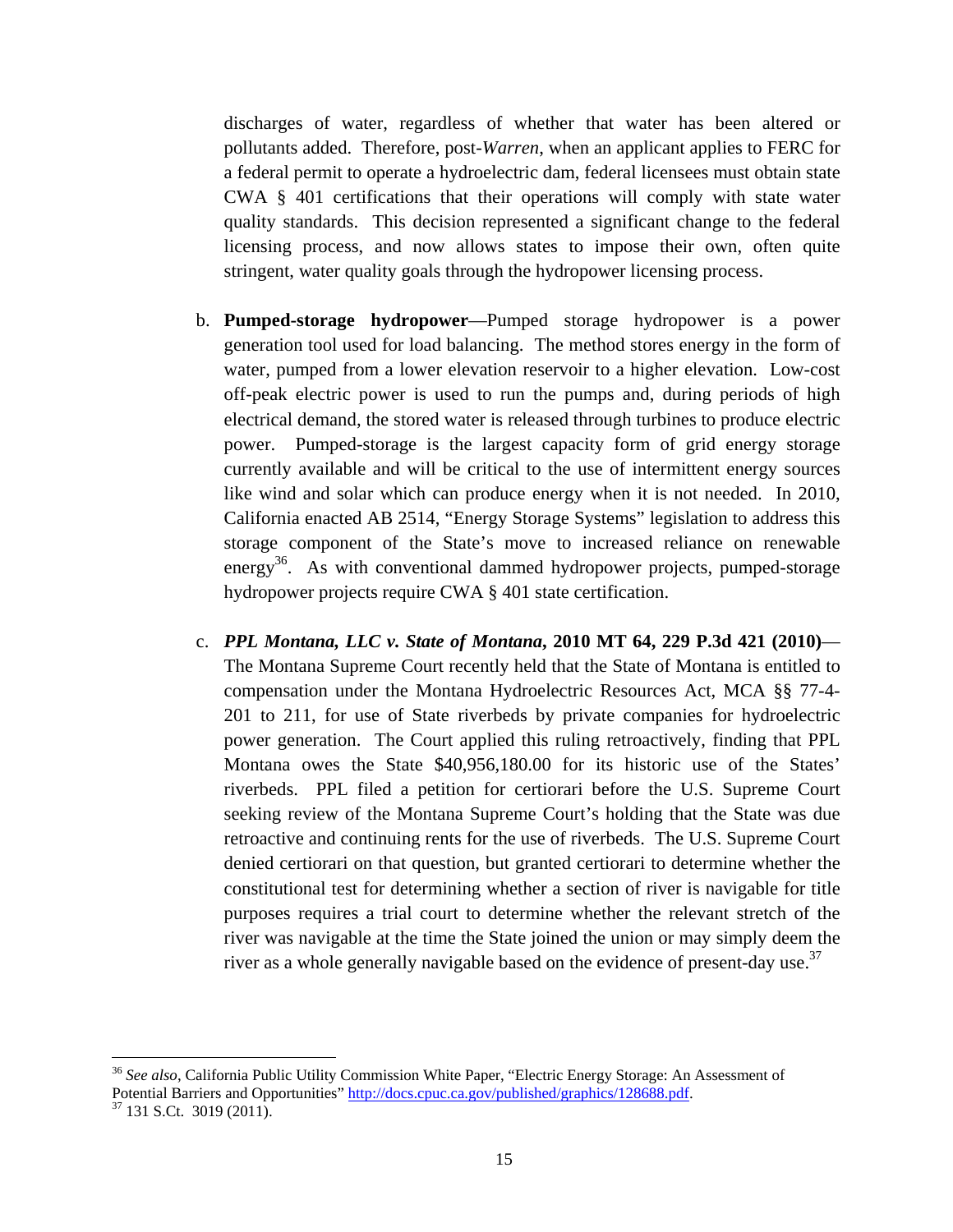discharges of water, regardless of whether that water has been altered or pollutants added. Therefore, post-*Warren*, when an applicant applies to FERC for a federal permit to operate a hydroelectric dam, federal licensees must obtain state CWA § 401 certifications that their operations will comply with state water quality standards. This decision represented a significant change to the federal licensing process, and now allows states to impose their own, often quite stringent, water quality goals through the hydropower licensing process.

- b. **Pumped-storage hydropower**—Pumped storage hydropower is a power generation tool used for load balancing. The method stores energy in the form of water, pumped from a lower elevation reservoir to a higher elevation. Low-cost off-peak electric power is used to run the pumps and, during periods of high electrical demand, the stored water is released through turbines to produce electric power. Pumped-storage is the largest capacity form of grid energy storage currently available and will be critical to the use of intermittent energy sources like wind and solar which can produce energy when it is not needed. In 2010, California enacted AB 2514, "Energy Storage Systems" legislation to address this storage component of the State's move to increased reliance on renewable energy<sup>36</sup>. As with conventional dammed hydropower projects, pumped-storage hydropower projects require CWA § 401 state certification.
- c. *PPL Montana, LLC v. State of Montana***, 2010 MT 64, 229 P.3d 421 (2010)** The Montana Supreme Court recently held that the State of Montana is entitled to compensation under the Montana Hydroelectric Resources Act, MCA §§ 77-4- 201 to 211, for use of State riverbeds by private companies for hydroelectric power generation. The Court applied this ruling retroactively, finding that PPL Montana owes the State \$40,956,180.00 for its historic use of the States' riverbeds. PPL filed a petition for certiorari before the U.S. Supreme Court seeking review of the Montana Supreme Court's holding that the State was due retroactive and continuing rents for the use of riverbeds. The U.S. Supreme Court denied certiorari on that question, but granted certiorari to determine whether the constitutional test for determining whether a section of river is navigable for title purposes requires a trial court to determine whether the relevant stretch of the river was navigable at the time the State joined the union or may simply deem the river as a whole generally navigable based on the evidence of present-day use.<sup>37</sup>

<sup>36</sup> *See also*, California Public Utility Commission White Paper, "Electric Energy Storage: An Assessment of Potential Barriers and Opportunities" http://docs.cpuc.ca.gov/published/graphics/128688.pdf. 37 131 S.Ct. 3019 (2011).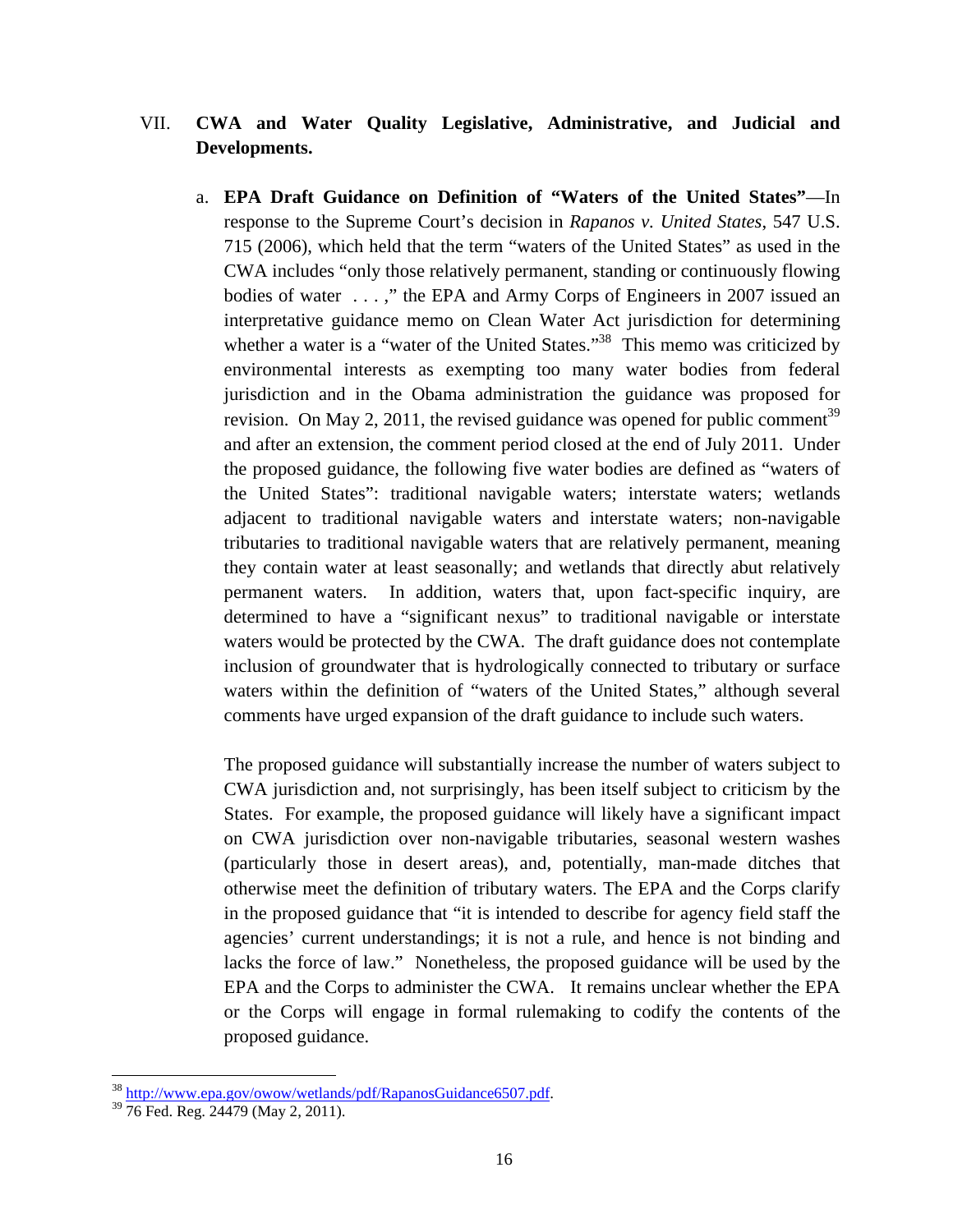## VII. **CWA and Water Quality Legislative, Administrative, and Judicial and Developments.**

a. **EPA Draft Guidance on Definition of "Waters of the United States"**—In response to the Supreme Court's decision in *Rapanos v. United States*, 547 U.S. 715 (2006), which held that the term "waters of the United States" as used in the CWA includes "only those relatively permanent, standing or continuously flowing bodies of water . . . ," the EPA and Army Corps of Engineers in 2007 issued an interpretative guidance memo on Clean Water Act jurisdiction for determining whether a water is a "water of the United States."<sup>38</sup> This memo was criticized by environmental interests as exempting too many water bodies from federal jurisdiction and in the Obama administration the guidance was proposed for revision. On May 2, 2011, the revised guidance was opened for public comment<sup>39</sup> and after an extension, the comment period closed at the end of July 2011. Under the proposed guidance, the following five water bodies are defined as "waters of the United States": traditional navigable waters; interstate waters; wetlands adjacent to traditional navigable waters and interstate waters; non-navigable tributaries to traditional navigable waters that are relatively permanent, meaning they contain water at least seasonally; and wetlands that directly abut relatively permanent waters. In addition, waters that, upon fact-specific inquiry, are determined to have a "significant nexus" to traditional navigable or interstate waters would be protected by the CWA. The draft guidance does not contemplate inclusion of groundwater that is hydrologically connected to tributary or surface waters within the definition of "waters of the United States," although several comments have urged expansion of the draft guidance to include such waters.

The proposed guidance will substantially increase the number of waters subject to CWA jurisdiction and, not surprisingly, has been itself subject to criticism by the States. For example, the proposed guidance will likely have a significant impact on CWA jurisdiction over non-navigable tributaries, seasonal western washes (particularly those in desert areas), and, potentially, man-made ditches that otherwise meet the definition of tributary waters. The EPA and the Corps clarify in the proposed guidance that "it is intended to describe for agency field staff the agencies' current understandings; it is not a rule, and hence is not binding and lacks the force of law." Nonetheless, the proposed guidance will be used by the EPA and the Corps to administer the CWA. It remains unclear whether the EPA or the Corps will engage in formal rulemaking to codify the contents of the proposed guidance.

 $\frac{38 \text{ http://www.epa.gov/owow/wetlands/pdf/RapanosGuidance6507.pdf}}{76 \text{ Fed. Reg. }24479 \text{ (May 2, 2011).}}$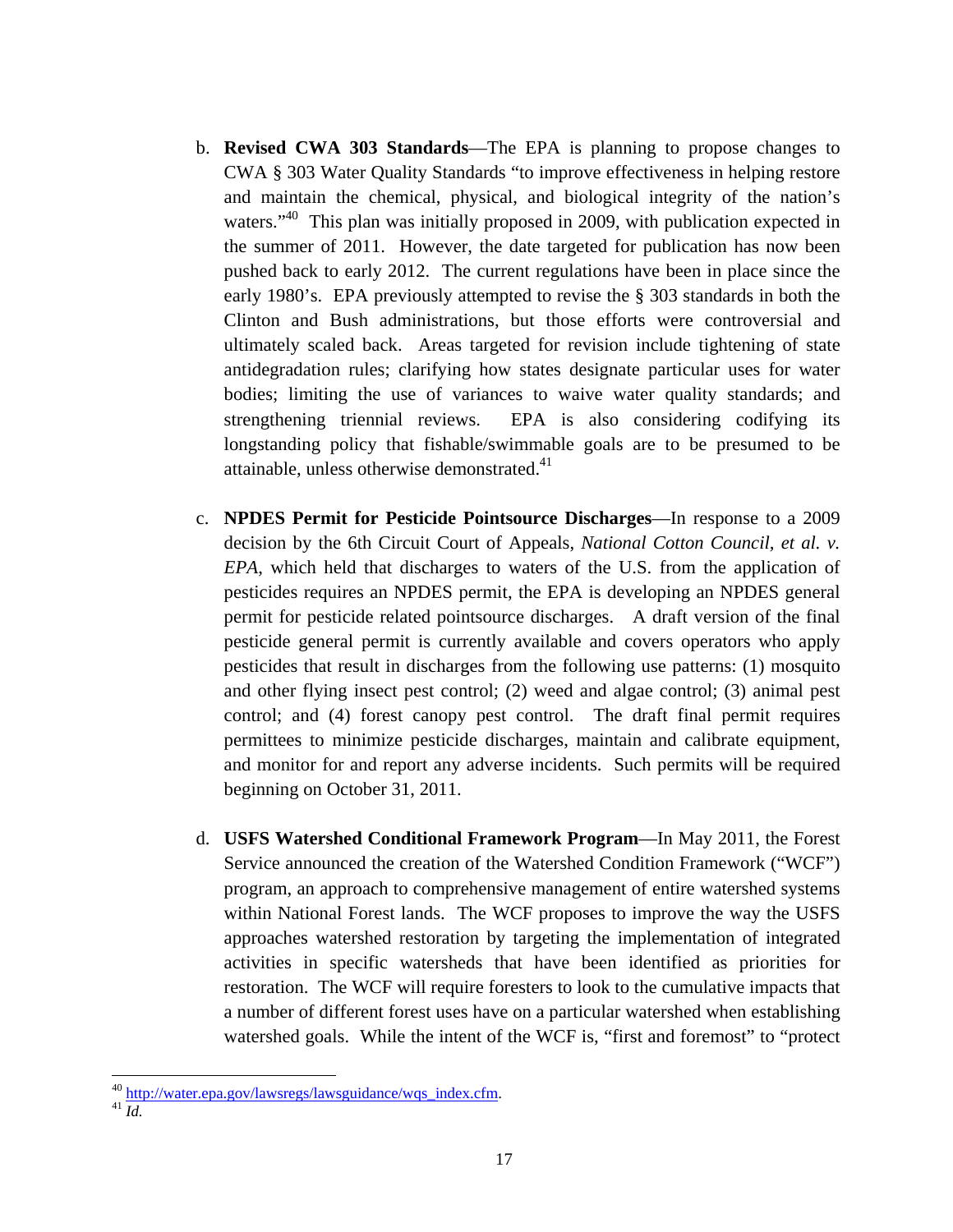- b. **Revised CWA 303 Standards**—The EPA is planning to propose changes to CWA § 303 Water Quality Standards "to improve effectiveness in helping restore and maintain the chemical, physical, and biological integrity of the nation's waters."<sup>40</sup> This plan was initially proposed in 2009, with publication expected in the summer of 2011. However, the date targeted for publication has now been pushed back to early 2012. The current regulations have been in place since the early 1980's. EPA previously attempted to revise the § 303 standards in both the Clinton and Bush administrations, but those efforts were controversial and ultimately scaled back. Areas targeted for revision include tightening of state antidegradation rules; clarifying how states designate particular uses for water bodies; limiting the use of variances to waive water quality standards; and strengthening triennial reviews. EPA is also considering codifying its longstanding policy that fishable/swimmable goals are to be presumed to be attainable, unless otherwise demonstrated.<sup>41</sup>
- c. **NPDES Permit for Pesticide Pointsource Discharges**—In response to a 2009 decision by the 6th Circuit Court of Appeals, *National Cotton Council, et al. v. EPA*, which held that discharges to waters of the U.S. from the application of pesticides requires an NPDES permit, the EPA is developing an NPDES general permit for pesticide related pointsource discharges. A draft version of the final pesticide general permit is currently available and covers operators who apply pesticides that result in discharges from the following use patterns: (1) mosquito and other flying insect pest control; (2) weed and algae control; (3) animal pest control; and (4) forest canopy pest control. The draft final permit requires permittees to minimize pesticide discharges, maintain and calibrate equipment, and monitor for and report any adverse incidents. Such permits will be required beginning on October 31, 2011.
- d. **USFS Watershed Conditional Framework Program**—In May 2011, the Forest Service announced the creation of the Watershed Condition Framework ("WCF") program, an approach to comprehensive management of entire watershed systems within National Forest lands. The WCF proposes to improve the way the USFS approaches watershed restoration by targeting the implementation of integrated activities in specific watersheds that have been identified as priorities for restoration. The WCF will require foresters to look to the cumulative impacts that a number of different forest uses have on a particular watershed when establishing watershed goals. While the intent of the WCF is, "first and foremost" to "protect

<sup>&</sup>lt;sup>40</sup> http://water.epa.gov/lawsregs/lawsguidance/wqs\_index.cfm.<br><sup>41</sup> *Id.*